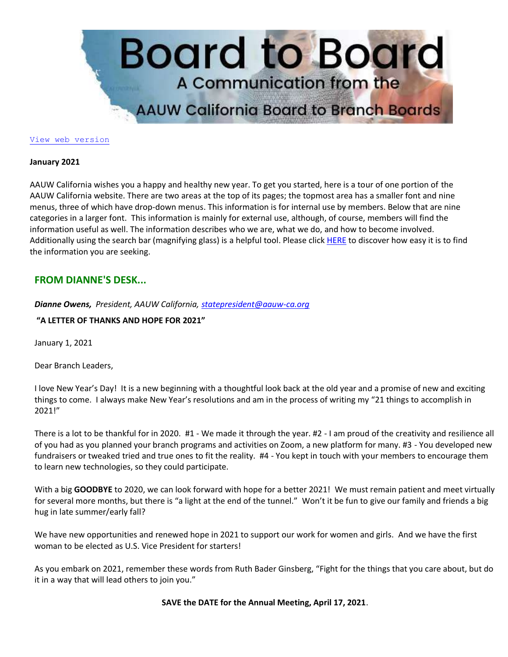

#### [View web version](https://bor.aauw-ca.org/sendy/w/YlrJ763AeyF892b51vFm0EptRw/4FDFL4S593H7oWC6rDwDxg/RJ8Xgsw9DyCfsZOOC93cCg)

#### **January 2021**

AAUW California wishes you a happy and healthy new year. To get you started, here is a tour of one portion of the AAUW California website. There are two areas at the top of its pages; the topmost area has a smaller font and nine menus, three of which have drop-down menus. This information is for internal use by members. Below that are nine categories in a larger font. This information is mainly for external use, although, of course, members will find the information useful as well. The information describes who we are, what we do, and how to become involved. Additionally using the search bar (magnifying glass) is a helpful tool. Please click [HERE](https://bor.aauw-ca.org/sendy/l/YlrJ763AeyF892b51vFm0EptRw/O0YAvcYYEAosRZAeT8mamQ/RJ8Xgsw9DyCfsZOOC93cCg) to discover how easy it is to find the information you are seeking.

# **FROM DIANNE'S DESK...**

*Dianne Owens, President, AAUW California[, statepresident@aauw-ca.org](mailto:statepresident@aauw-ca.org)*

**"A LETTER OF THANKS AND HOPE FOR 2021"**

January 1, 2021

Dear Branch Leaders,

I love New Year's Day! It is a new beginning with a thoughtful look back at the old year and a promise of new and exciting things to come. I always make New Year's resolutions and am in the process of writing my "21 things to accomplish in 2021!"

There is a lot to be thankful for in 2020. #1 - We made it through the year. #2 - I am proud of the creativity and resilience all of you had as you planned your branch programs and activities on Zoom, a new platform for many. #3 - You developed new fundraisers or tweaked tried and true ones to fit the reality. #4 - You kept in touch with your members to encourage them to learn new technologies, so they could participate.

With a big **GOODBYE** to 2020, we can look forward with hope for a better 2021! We must remain patient and meet virtually for several more months, but there is "a light at the end of the tunnel." Won't it be fun to give our family and friends a big hug in late summer/early fall?

We have new opportunities and renewed hope in 2021 to support our work for women and girls. And we have the first woman to be elected as U.S. Vice President for starters!

As you embark on 2021, remember these words from Ruth Bader Ginsberg, "Fight for the things that you care about, but do it in a way that will lead others to join you."

**SAVE the DATE for the Annual Meeting, April 17, 2021**.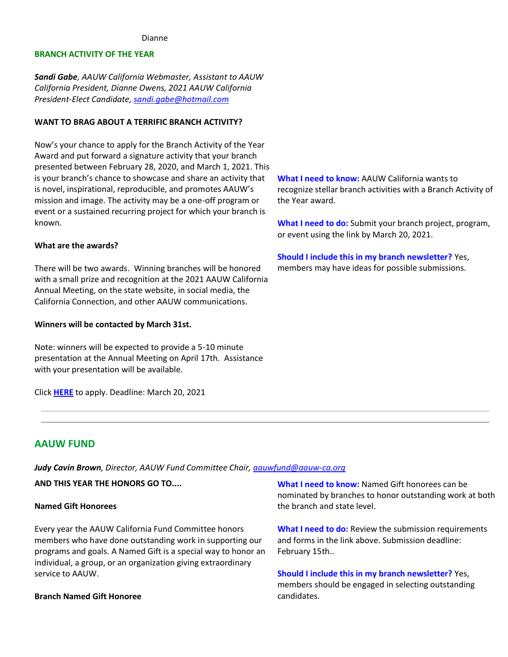#### Dianne

### **BRANCH ACTIVITY OF THE YEAR**

*Sandi Gabe, AAUW California Webmaster, Assistant to AAUW California President, Dianne Owens, 2021 AAUW California President-Elect Candidate, [sandi.gabe@hotmail.com](mailto:sandi.gabe@hotmail.com)*

#### **WANT TO BRAG ABOUT A TERRIFIC BRANCH ACTIVITY?**

Now's your chance to apply for the Branch Activity of the Year Award and put forward a signature activity that your branch presented between February 28, 2020, and March 1, 2021. This is your branch's chance to showcase and share an activity that is novel, inspirational, reproducible, and promotes AAUW's mission and image. The activity may be a one-off program or event or a sustained recurring project for which your branch is known.

#### **What are the awards?**

There will be two awards. Winning branches will be honored with a small prize and recognition at the 2021 AAUW California Annual Meeting, on the state website, in social media, the California Connection, and other AAUW communications.

#### **Winners will be contacted by March 31st.**

Note: winners will be expected to provide a 5-10 minute presentation at the Annual Meeting on April 17th. Assistance with your presentation will be available.

Click **[HERE](https://bor.aauw-ca.org/sendy/l/YlrJ763AeyF892b51vFm0EptRw/HhwVK7WechXtvfRZxLmAmQ/RJ8Xgsw9DyCfsZOOC93cCg)** to apply. Deadline: March 20, 2021

**What I need to know:** AAUW California wants to recognize stellar branch activities with a Branch Activity of the Year award.

**What I need to do:** Submit your branch project, program, or event using the link by March 20, 2021.

**Should I include this in my branch newsletter?** Yes, members may have ideas for possible submissions.

# **AAUW FUND**

*Judy Cavin Brown, Director, AAUW Fund Committee Chair, [aauwfund@aauw-ca.org](mailto:aauwfund@aauw-ca.org)*

**AND THIS YEAR THE HONORS GO TO....**

#### **Named Gift Honorees**

Every year the AAUW California Fund Committee honors members who have done outstanding work in supporting our programs and goals. A Named Gift is a special way to honor an individual, a group, or an organization giving extraordinary service to AAUW.

#### **Branch Named Gift Honoree**

**What I need to know:** Named Gift honorees can be nominated by branches to honor outstanding work at both the branch and state level.

**What I need to do:** Review the submission requirements and forms in the link above. Submission deadline: February 15th..

**Should I include this in my branch newsletter?** Yes, members should be engaged in selecting outstanding candidates.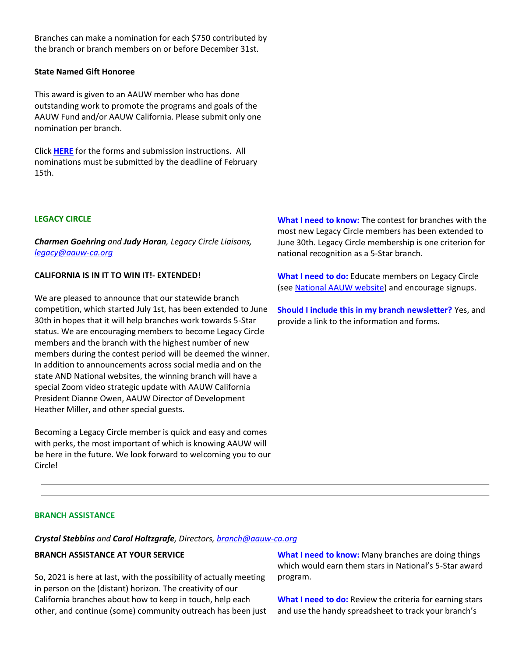Branches can make a nomination for each \$750 contributed by the branch or branch members on or before December 31st.

### **State Named Gift Honoree**

This award is given to an AAUW member who has done outstanding work to promote the programs and goals of the AAUW Fund and/or AAUW California. Please submit only one nomination per branch.

Click **[HERE](https://bor.aauw-ca.org/sendy/l/YlrJ763AeyF892b51vFm0EptRw/892edrK763cmHysrciJXI8L3Xw/RJ8Xgsw9DyCfsZOOC93cCg)** for the forms and submission instructions. All nominations must be submitted by the deadline of February 15th.

### **LEGACY CIRCLE**

*Charmen Goehring and Judy Horan, Legacy Circle Liaisons, [legacy@aauw-ca.org](mailto:legacy@aauw-ca.org)*

## **CALIFORNIA IS IN IT TO WIN IT!- EXTENDED!**

We are pleased to announce that our statewide branch competition, which started July 1st, has been extended to June 30th in hopes that it will help branches work towards 5-Star status. We are encouraging members to become Legacy Circle members and the branch with the highest number of new members during the contest period will be deemed the winner. In addition to announcements across social media and on the state AND National websites, the winning branch will have a special Zoom video strategic update with AAUW California President Dianne Owen, AAUW Director of Development Heather Miller, and other special guests.

Becoming a Legacy Circle member is quick and easy and comes with perks, the most important of which is knowing AAUW will be here in the future. We look forward to welcoming you to our Circle!

**What I need to know:** The contest for branches with the most new Legacy Circle members has been extended to June 30th. Legacy Circle membership is one criterion for national recognition as a 5-Star branch.

**What I need to do:** Educate members on Legacy Circle (see **National AAUW website**) and encourage signups.

**Should I include this in my branch newsletter?** Yes, and provide a link to the information and forms.

## **BRANCH ASSISTANCE**

*Crystal Stebbins and Carol Holtzgrafe, Directors, [branch@aauw-ca.org](mailto:branch@aauw-ca.org)*

## **BRANCH ASSISTANCE AT YOUR SERVICE**

So, 2021 is here at last, with the possibility of actually meeting in person on the (distant) horizon. The creativity of our California branches about how to keep in touch, help each other, and continue (some) community outreach has been just

**What I need to know:** Many branches are doing things which would earn them stars in National's 5-Star award program.

**What I need to do:** Review the criteria for earning stars and use the handy spreadsheet to track your branch's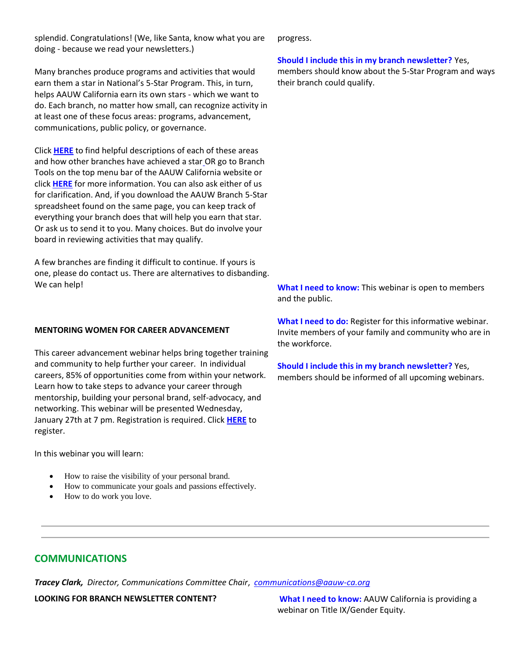splendid. Congratulations! (We, like Santa, know what you are doing - because we read your newsletters.)

Many branches produce programs and activities that would earn them a star in National's 5-Star Program. This, in turn, helps AAUW California earn its own stars - which we want to do. Each branch, no matter how small, can recognize activity in at least one of these focus areas: programs, advancement, communications, public policy, or governance.

Click **[HERE](https://bor.aauw-ca.org/sendy/l/YlrJ763AeyF892b51vFm0EptRw/mYxMYz3YtfEBy0Chg892w7mA/RJ8Xgsw9DyCfsZOOC93cCg)** to find helpful descriptions of each of these areas and how other branches have achieved a sta[r](https://bor.aauw-ca.org/sendy/l/YlrJ763AeyF892b51vFm0EptRw/mYxMYz3YtfEBy0Chg892w7mA/RJ8Xgsw9DyCfsZOOC93cCg) OR go to Branch Tools on the top menu bar of the AAUW California website or click **[HERE](https://bor.aauw-ca.org/sendy/l/YlrJ763AeyF892b51vFm0EptRw/mYxMYz3YtfEBy0Chg892w7mA/RJ8Xgsw9DyCfsZOOC93cCg)** for more information. You can also ask either of us for clarification. And, if you download the AAUW Branch 5-Star spreadsheet found on the same page, you can keep track of everything your branch does that will help you earn that star. Or ask us to send it to you. Many choices. But do involve your board in reviewing activities that may qualify.

A few branches are finding it difficult to continue. If yours is one, please do contact us. There are alternatives to disbanding. We can help!

### **MENTORING WOMEN FOR CAREER ADVANCEMENT**

This career advancement webinar helps bring together training and community to help further your career. In individual careers, 85% of opportunities come from within your network. Learn how to take steps to advance your career through mentorship, building your personal brand, self-advocacy, and networking. This webinar will be presented Wednesday, January 27th at 7 pm. Registration is required. Click **[HERE](https://bor.aauw-ca.org/sendy/l/YlrJ763AeyF892b51vFm0EptRw/WBMsRQjlNkaLc076350AVQAA/RJ8Xgsw9DyCfsZOOC93cCg)** to register.

In this webinar you will learn:

- How to raise the visibility of your personal brand.
- How to communicate your goals and passions effectively.
- How to do work you love.

progress.

### **Should I include this in my branch newsletter?** Yes,

members should know about the 5-Star Program and ways their branch could qualify.

**What I need to know:** This webinar is open to members and the public.

**What I need to do:** Register for this informative webinar. Invite members of your family and community who are in the workforce.

**Should I include this in my branch newsletter?** Yes, members should be informed of all upcoming webinars.

# **COMMUNICATIONS**

*Tracey Clark, Director, Communications Committee Chair*, *[communications@aauw-ca.org](mailto:Communications@aauw-ca.org)*

**LOOKING FOR BRANCH NEWSLETTER CONTENT? What I need to know:** AAUW California is providing a webinar on Title IX/Gender Equity.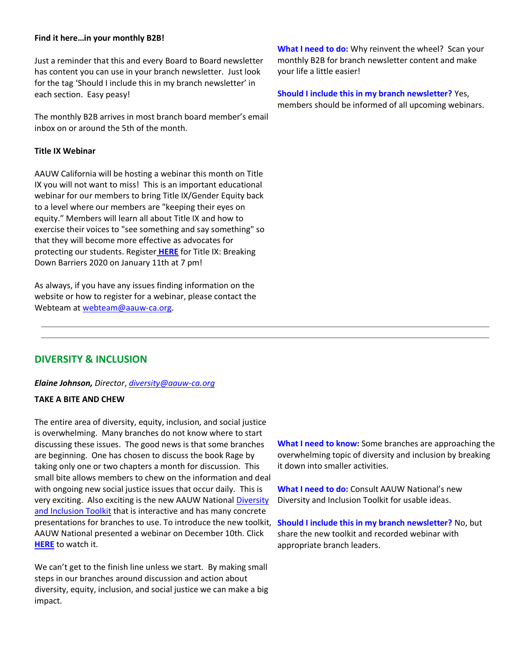### **Find it here…in your monthly B2B!**

Just a reminder that this and every Board to Board newsletter has content you can use in your branch newsletter. Just look for the tag 'Should I include this in my branch newsletter' in each section. Easy peasy!

The monthly B2B arrives in most branch board member's email inbox on or around the 5th of the month.

### **Title IX Webinar**

AAUW California will be hosting a webinar this month on Title IX you will not want to miss! This is an important educational webinar for our members to bring Title IX/Gender Equity back to a level where our members are "keeping their eyes on equity." Members will learn all about Title IX and how to exercise their voices to "see something and say something" so that they will become more effective as advocates for protecting our students. Register **[HERE](https://bor.aauw-ca.org/sendy/l/YlrJ763AeyF892b51vFm0EptRw/LH2rClaKlejagVmY892JGg0w/RJ8Xgsw9DyCfsZOOC93cCg)** for Title IX: Breaking Down Barriers 2020 on January 11th at 7 pm!

As always, if you have any issues finding information on the website or how to register for a webinar, please contact the Webteam a[t webteam@aauw-ca.org.](mailto:webteam@aauw-ca.org)

**What I need to do:** Why reinvent the wheel? Scan your monthly B2B for branch newsletter content and make your life a little easier!

**Should I include this in my branch newsletter?** Yes, members should be informed of all upcoming webinars.

# **DIVERSITY & INCLUSION**

*Elaine Johnson, Director*, *[diversity@aauw-ca.org](mailto:diversity@aauw-ca.org)*

## **TAKE A BITE AND CHEW**

The entire area of diversity, equity, inclusion, and social justice is overwhelming. Many branches do not know where to start discussing these issues. The good news is that some branches are beginning. One has chosen to discuss the book Rage by taking only one or two chapters a month for discussion. This small bite allows members to chew on the information and deal with ongoing new social justice issues that occur daily. This is very exciting. Also exciting is the new AAUW National [Diversity](https://bor.aauw-ca.org/sendy/l/YlrJ763AeyF892b51vFm0EptRw/ZNov892LnT2mNhqTcnypCpcw/RJ8Xgsw9DyCfsZOOC93cCg)  [and Inclusion Toolkit](https://bor.aauw-ca.org/sendy/l/YlrJ763AeyF892b51vFm0EptRw/ZNov892LnT2mNhqTcnypCpcw/RJ8Xgsw9DyCfsZOOC93cCg) that is interactive and has many concrete presentations for branches to use. To introduce the new toolkit, AAUW National presented a webinar on December 10th. Click **[HERE](https://bor.aauw-ca.org/sendy/l/YlrJ763AeyF892b51vFm0EptRw/LcMvfOJQS2HjVPsGjyozPQ/RJ8Xgsw9DyCfsZOOC93cCg)** to watch it.

We can't get to the finish line unless we start. By making small steps in our branches around discussion and action about diversity, equity, inclusion, and social justice we can make a big impact.

**What I need to know:** Some branches are approaching the overwhelming topic of diversity and inclusion by breaking it down into smaller activities.

**What I need to do:** Consult AAUW National's new Diversity and Inclusion Toolkit for usable ideas.

**Should I include this in my branch newsletter?** No, but share the new toolkit and recorded webinar with appropriate branch leaders.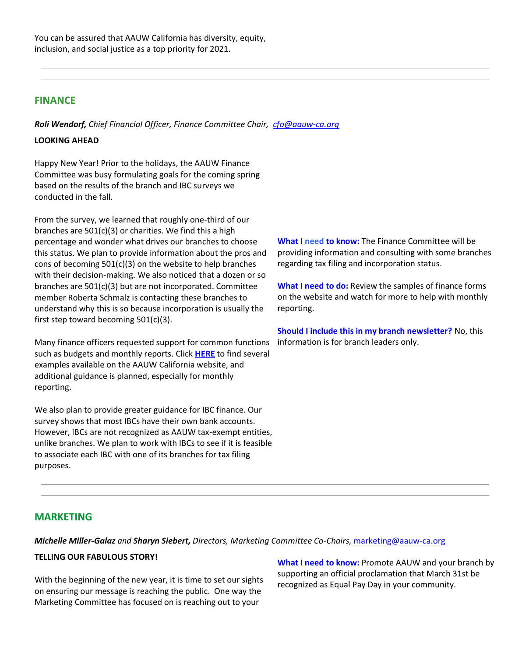# **FINANCE**

*Roli Wendorf, Chief Financial Officer, Finance Committee Chair, [cfo@aauw-ca.org](mailto:cfo@aauw-ca.org)*

### **LOOKING AHEAD**

Happy New Year! Prior to the holidays, the AAUW Finance Committee was busy formulating goals for the coming spring based on the results of the branch and IBC surveys we conducted in the fall.

From the survey, we learned that roughly one-third of our branches are 501(c)(3) or charities. We find this a high percentage and wonder what drives our branches to choose this status. We plan to provide information about the pros and cons of becoming 501(c)(3) on the website to help branches with their decision-making. We also noticed that a dozen or so branches are 501(c)(3) but are not incorporated. Committee member Roberta Schmalz is contacting these branches to understand why this is so because incorporation is usually the first step toward becoming 501(c)(3).

Many finance officers requested support for common functions such as budgets and monthly reports. Click **[HERE](https://bor.aauw-ca.org/sendy/l/YlrJ763AeyF892b51vFm0EptRw/1QfCwvzZO892IvwXwWelpYLQ/RJ8Xgsw9DyCfsZOOC93cCg)** to find several examples available on [t](https://bor.aauw-ca.org/sendy/l/YlrJ763AeyF892b51vFm0EptRw/1QfCwvzZO892IvwXwWelpYLQ/RJ8Xgsw9DyCfsZOOC93cCg)he AAUW California website, and additional guidance is planned, especially for monthly reporting.

We also plan to provide greater guidance for IBC finance. Our survey shows that most IBCs have their own bank accounts. However, IBCs are not recognized as AAUW tax-exempt entities, unlike branches. We plan to work with IBCs to see if it is feasible to associate each IBC with one of its branches for tax filing purposes.

**What I need to know:** The Finance Committee will be providing information and consulting with some branches regarding tax filing and incorporation status.

**What I need to do:** Review the samples of finance forms on the website and watch for more to help with monthly reporting.

**Should I include this in my branch newsletter?** No, this information is for branch leaders only.

# **MARKETING**

*Michelle Miller-Galaz and Sharyn Siebert, Directors, Marketing Committee Co-Chairs,* [marketing@aauw-ca.org](mailto:marketing@aauw-ca.org)

## **TELLING OUR FABULOUS STORY!**

With the beginning of the new year, it is time to set our sights on ensuring our message is reaching the public. One way the Marketing Committee has focused on is reaching out to your

**What I need to know:** Promote AAUW and your branch by supporting an official proclamation that March 31st be recognized as Equal Pay Day in your community.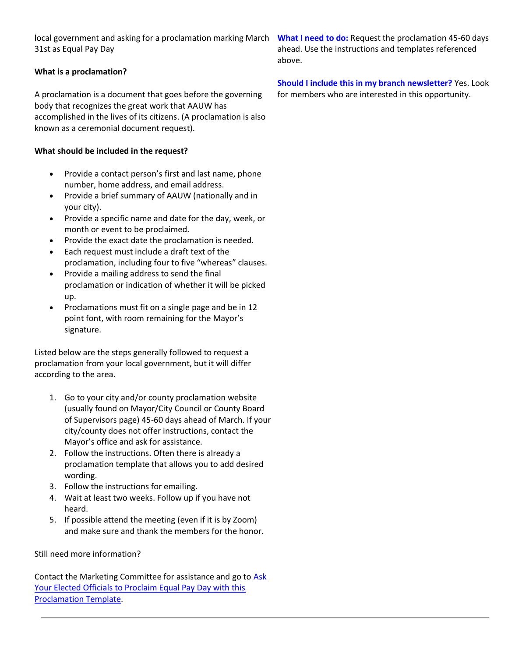local government and asking for a proclamation marking March What I need to do: Request the proclamation 45-60 days 31st as Equal Pay Day

## **What is a proclamation?**

A proclamation is a document that goes before the governing body that recognizes the great work that AAUW has accomplished in the lives of its citizens. (A proclamation is also known as a ceremonial document request).

## **What should be included in the request?**

- Provide a contact person's first and last name, phone number, home address, and email address.
- Provide a brief summary of AAUW (nationally and in your city).
- Provide a specific name and date for the day, week, or month or event to be proclaimed.
- Provide the exact date the proclamation is needed.
- Each request must include a draft text of the proclamation, including four to five "whereas" clauses.
- Provide a mailing address to send the final proclamation or indication of whether it will be picked up.
- Proclamations must fit on a single page and be in 12 point font, with room remaining for the Mayor's signature.

Listed below are the steps generally followed to request a proclamation from your local government, but it will differ according to the area.

- 1. Go to your city and/or county proclamation website (usually found on Mayor/City Council or County Board of Supervisors page) 45-60 days ahead of March. If your city/county does not offer instructions, contact the Mayor's office and ask for assistance.
- 2. Follow the instructions. Often there is already a proclamation template that allows you to add desired wording.
- 3. Follow the instructions for emailing.
- 4. Wait at least two weeks. Follow up if you have not heard.
- 5. If possible attend the meeting (even if it is by Zoom) and make sure and thank the members for the honor.

Still need more information?

Contact the Marketing Committee for assistance and go to Ask Your Elected Officials to Proclaim Equal Pay Day with this [Proclamation Template.](https://bor.aauw-ca.org/sendy/l/YlrJ763AeyF892b51vFm0EptRw/zeskMqLDk763Imk9taKx2xew/RJ8Xgsw9DyCfsZOOC93cCg)

ahead. Use the instructions and templates referenced above.

**Should I include this in my branch newsletter?** Yes. Look for members who are interested in this opportunity.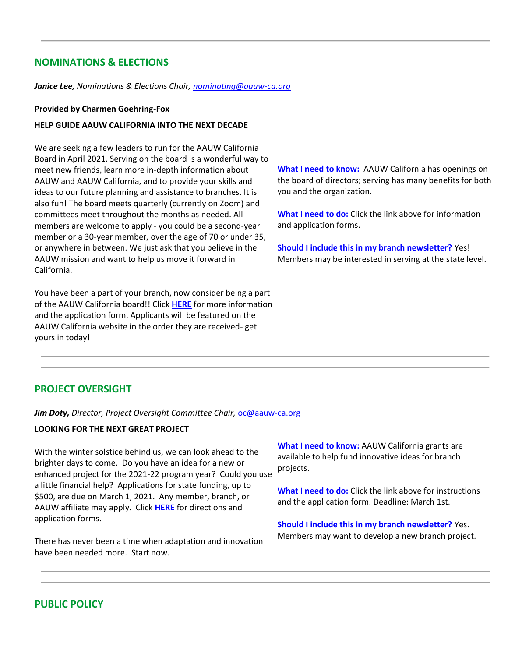# **NOMINATIONS & ELECTIONS**

*Janice Lee, Nominations & Elections Chair, [nominating@aauw-ca.org](mailto:nominating@aauw-ca.org)*

#### **Provided by Charmen Goehring-Fox**

#### **HELP GUIDE AAUW CALIFORNIA INTO THE NEXT DECADE**

We are seeking a few leaders to run for the AAUW California Board in April 2021. Serving on the board is a wonderful way to meet new friends, learn more in-depth information about AAUW and AAUW California, and to provide your skills and ideas to our future planning and assistance to branches. It is also fun! The board meets quarterly (currently on Zoom) and committees meet throughout the months as needed. All members are welcome to apply - you could be a second-year member or a 30-year member, over the age of 70 or under 35, or anywhere in between. We just ask that you believe in the AAUW mission and want to help us move it forward in California.

You have been a part of your branch, now consider being a part of the AAUW California board!! Click **[HERE](https://bor.aauw-ca.org/sendy/l/YlrJ763AeyF892b51vFm0EptRw/QgZkcUfnomgJaAAkI4F4ZQ/RJ8Xgsw9DyCfsZOOC93cCg)** for more information and the application form. Applicants will be featured on the AAUW California website in the order they are received- get yours in today!

**What I need to know:** AAUW California has openings on the board of directors; serving has many benefits for both you and the organization.

**What I need to do:** Click the link above for information and application forms.

**Should I include this in my branch newsletter?** Yes! Members may be interested in serving at the state level.

# **PROJECT OVERSIGHT**

*Jim Doty, Director, Project Oversight Committee Chair,* [oc@aauw-ca.org](mailto:oc@aauw-ca.org)

### **LOOKING FOR THE NEXT GREAT PROJECT**

With the winter solstice behind us, we can look ahead to the brighter days to come. Do you have an idea for a new or enhanced project for the 2021-22 program year? Could you use a little financial help? Applications for state funding, up to \$500, are due on March 1, 2021. Any member, branch, or AAUW affiliate may apply. Click **[HERE](https://bor.aauw-ca.org/sendy/l/YlrJ763AeyF892b51vFm0EptRw/HP45DAm763VvKTkhGKx3PE0w/RJ8Xgsw9DyCfsZOOC93cCg)** for directions and application forms.

There has never been a time when adaptation and innovation have been needed more. Start now.

**What I need to know:** AAUW California grants are available to help fund innovative ideas for branch projects.

**What I need to do:** Click the link above for instructions and the application form. Deadline: March 1st.

**Should I include this in my branch newsletter?** Yes. Members may want to develop a new branch project.

# **PUBLIC POLICY**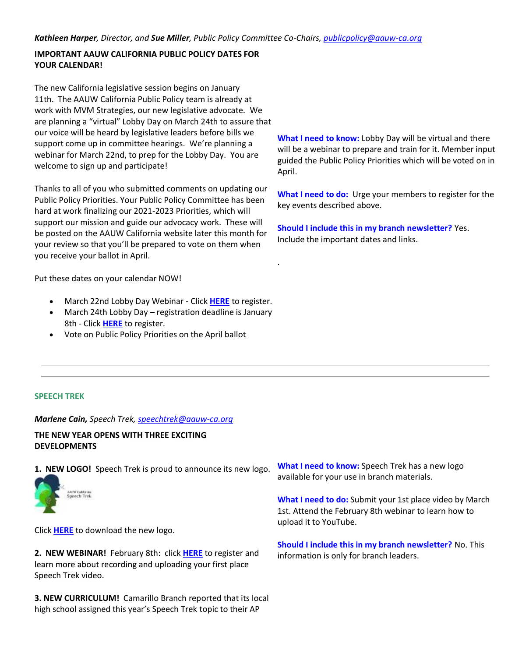.

# **IMPORTANT AAUW CALIFORNIA PUBLIC POLICY DATES FOR YOUR CALENDAR!**

The new California legislative session begins on January 11th. The AAUW California Public Policy team is already at work with MVM Strategies, our new legislative advocate. We are planning a "virtual" Lobby Day on March 24th to assure that our voice will be heard by legislative leaders before bills we support come up in committee hearings. We're planning a webinar for March 22nd, to prep for the Lobby Day. You are welcome to sign up and participate!

Thanks to all of you who submitted comments on updating our Public Policy Priorities. Your Public Policy Committee has been hard at work finalizing our 2021-2023 Priorities, which will support our mission and guide our advocacy work. These will be posted on the AAUW California website later this month for your review so that you'll be prepared to vote on them when you receive your ballot in April.

Put these dates on your calendar NOW!

- March 22nd Lobby Day Webinar Click **[HERE](https://bor.aauw-ca.org/sendy/l/YlrJ763AeyF892b51vFm0EptRw/Do892BZKCcsO8924wxgR6Jqxgw/RJ8Xgsw9DyCfsZOOC93cCg)** to register.
- March 24th Lobby Day registration deadline is January 8th - Click **[HERE](https://bor.aauw-ca.org/sendy/l/YlrJ763AeyF892b51vFm0EptRw/R6cEE7FyjcvSA66wXX6Low/RJ8Xgsw9DyCfsZOOC93cCg)** to register.
- Vote on Public Policy Priorities on the April ballot

**What I need to know:** Lobby Day will be virtual and there will be a webinar to prepare and train for it. Member input guided the Public Policy Priorities which will be voted on in April.

**What I need to do:** Urge your members to register for the key events described above.

**Should I include this in my branch newsletter?** Yes. Include the important dates and links.

## **SPEECH TREK**

*Marlene Cain, Speech Trek, [speechtrek@aauw-ca.org](mailto:speechtrek@aauw-ca.org)*

# **THE NEW YEAR OPENS WITH THREE EXCITING DEVELOPMENTS**

**1. NEW LOGO!** Speech Trek is proud to announce its new logo.



Click **[HERE](https://bor.aauw-ca.org/sendy/l/YlrJ763AeyF892b51vFm0EptRw/U1NHTgt9eYEVm7rOYr7630mw/RJ8Xgsw9DyCfsZOOC93cCg)** to download the new logo.

**2. NEW WEBINAR!** February 8th: click **[HERE](https://bor.aauw-ca.org/sendy/l/YlrJ763AeyF892b51vFm0EptRw/LH2rClaKlejagVmY892JGg0w/RJ8Xgsw9DyCfsZOOC93cCg)** to register and learn more about recording and uploading your first place Speech Trek video.

**3. NEW CURRICULUM!** Camarillo Branch reported that its local high school assigned this year's Speech Trek topic to their AP

**What I need to know:** Speech Trek has a new logo available for your use in branch materials.

**What I need to do:** Submit your 1st place video by March 1st. Attend the February 8th webinar to learn how to upload it to YouTube.

**Should I include this in my branch newsletter?** No. This information is only for branch leaders.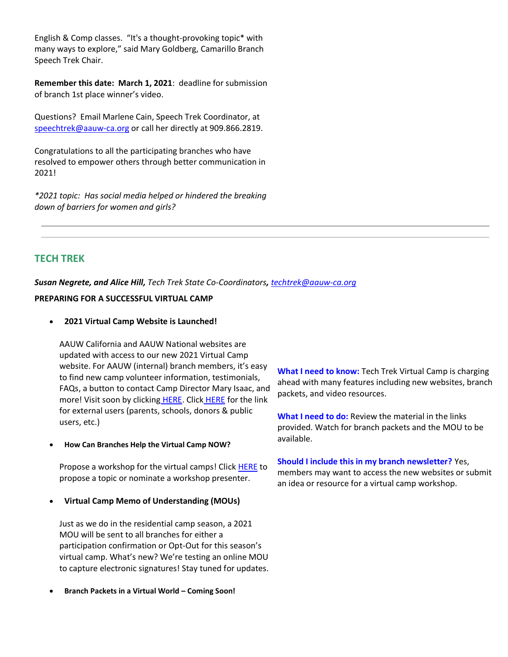English & Comp classes. "It's a thought-provoking topic\* with many ways to explore," said Mary Goldberg, Camarillo Branch Speech Trek Chair.

**Remember this date: March 1, 2021**: deadline for submission of branch 1st place winner's video.

Questions? Email Marlene Cain, Speech Trek Coordinator, at [speechtrek@aauw-ca.org](mailto:speechtrek@aauw-ca.org) or call her directly at 909.866.2819.

Congratulations to all the participating branches who have resolved to empower others through better communication in 2021!

*\*2021 topic: Has social media helped or hindered the breaking down of barriers for women and girls?*

# **TECH TREK**

*Susan Negrete, and Alice Hill, Tech Trek State Co-Coordinators, [techtrek@aauw-ca.org](mailto:techtrek@aauw-ca.org)*

## **PREPARING FOR A SUCCESSFUL VIRTUAL CAMP**

• **2021 Virtual Camp Website is Launched!**

AAUW California and AAUW National websites are updated with access to our new 2021 Virtual Camp website. For AAUW (internal) branch members, it's easy to find new camp volunteer information, testimonials, FAQs, a button to contact Camp Director Mary Isaac, and more! Visit soon by clicking [HERE.](https://bor.aauw-ca.org/sendy/l/YlrJ763AeyF892b51vFm0EptRw/YagKCzXCczYTJjK6ZdEKyw/RJ8Xgsw9DyCfsZOOC93cCg) Click [HERE](https://bor.aauw-ca.org/sendy/l/YlrJ763AeyF892b51vFm0EptRw/eqUwZ1WVOFSa7763LtXnGi2Q/RJ8Xgsw9DyCfsZOOC93cCg) for the link for external users (parents, schools, donors & public users, etc.)

• **How Can Branches Help the Virtual Camp NOW?**

Propose a workshop for the virtual camps! Click [HERE](https://bor.aauw-ca.org/sendy/l/YlrJ763AeyF892b51vFm0EptRw/CHEk3n5r9nZdWbTjutDsHg/RJ8Xgsw9DyCfsZOOC93cCg) to propose a topic or nominate a workshop presenter.

• **Virtual Camp Memo of Understanding (MOUs)**

Just as we do in the residential camp season, a 2021 MOU will be sent to all branches for either a participation confirmation or Opt-Out for this season's virtual camp. What's new? We're testing an online MOU to capture electronic signatures! Stay tuned for updates.

• **Branch Packets in a Virtual World – Coming Soon!**

**What I need to know:** Tech Trek Virtual Camp is charging ahead with many features including new websites, branch packets, and video resources.

**What I need to do:** Review the material in the links provided. Watch for branch packets and the MOU to be available.

**Should I include this in my branch newsletter?** Yes, members may want to access the new websites or submit an idea or resource for a virtual camp workshop.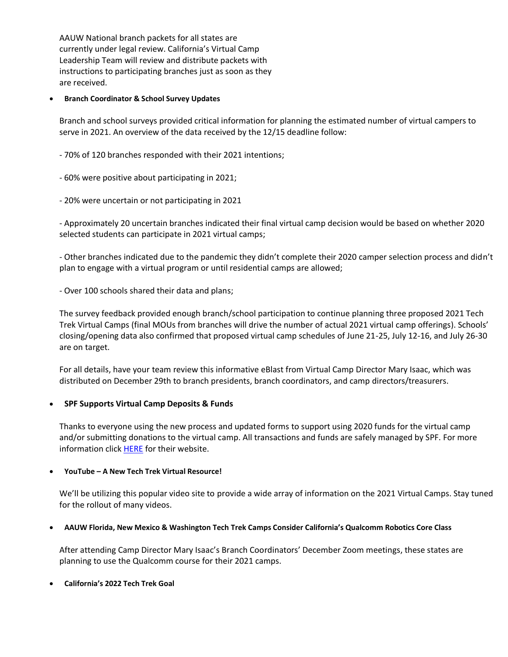AAUW National branch packets for all states are currently under legal review. California's Virtual Camp Leadership Team will review and distribute packets with instructions to participating branches just as soon as they are received.

### • **Branch Coordinator & School Survey Updates**

Branch and school surveys provided critical information for planning the estimated number of virtual campers to serve in 2021. An overview of the data received by the 12/15 deadline follow:

- 70% of 120 branches responded with their 2021 intentions;
- 60% were positive about participating in 2021;
- 20% were uncertain or not participating in 2021

- Approximately 20 uncertain branches indicated their final virtual camp decision would be based on whether 2020 selected students can participate in 2021 virtual camps;

- Other branches indicated due to the pandemic they didn't complete their 2020 camper selection process and didn't plan to engage with a virtual program or until residential camps are allowed;

- Over 100 schools shared their data and plans;

The survey feedback provided enough branch/school participation to continue planning three proposed 2021 Tech Trek Virtual Camps (final MOUs from branches will drive the number of actual 2021 virtual camp offerings). Schools' closing/opening data also confirmed that proposed virtual camp schedules of June 21-25, July 12-16, and July 26-30 are on target.

For all details, have your team review this informative eBlast from Virtual Camp Director Mary Isaac, which was distributed on December 29th to branch presidents, branch coordinators, and camp directors/treasurers.

## • **SPF Supports Virtual Camp Deposits & Funds**

Thanks to everyone using the new process and updated forms to support using 2020 funds for the virtual camp and/or submitting donations to the virtual camp. All transactions and funds are safely managed by SPF. For more information click **[HERE](https://bor.aauw-ca.org/sendy/l/YlrJ763AeyF892b51vFm0EptRw/zhSxSCL7a892jVIW9TbOUuLQ/RJ8Xgsw9DyCfsZOOC93cCg)** for their website.

## • **YouTube – A New Tech Trek Virtual Resource!**

We'll be utilizing this popular video site to provide a wide array of information on the 2021 Virtual Camps. Stay tuned for the rollout of many videos.

## • **AAUW Florida, New Mexico & Washington Tech Trek Camps Consider California's Qualcomm Robotics Core Class**

After attending Camp Director Mary Isaac's Branch Coordinators' December Zoom meetings, these states are planning to use the Qualcomm course for their 2021 camps.

## • **California's 2022 Tech Trek Goal**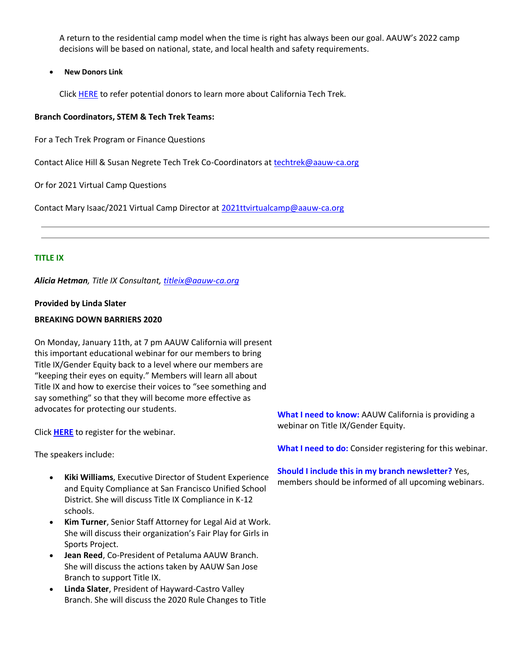A return to the residential camp model when the time is right has always been our goal. AAUW's 2022 camp decisions will be based on national, state, and local health and safety requirements.

• **New Donors Link**

Click [HERE](https://bor.aauw-ca.org/sendy/l/YlrJ763AeyF892b51vFm0EptRw/iwinvcdZpMecAPmf2Dydhg/RJ8Xgsw9DyCfsZOOC93cCg) to refer potential donors to learn more about California Tech Trek.

#### **Branch Coordinators, STEM & Tech Trek Teams:**

For a Tech Trek Program or Finance Questions

Contact Alice Hill & Susan Negrete Tech Trek Co-Coordinators at [techtrek@aauw-ca.org](mailto:techtrek@aauw-ca.org)

Or for 2021 Virtual Camp Questions

Contact Mary Isaac/2021 Virtual Camp Director at [2021ttvirtualcamp@aauw-ca.org](mailto:2021ttvirtualcamp@aauw-ca.org)

#### **TITLE IX**

*Alicia Hetman, Title IX Consultant, [titleix@aauw-ca.org](mailto:titleix@aauw-ca.org)*

#### **Provided by Linda Slater**

#### **BREAKING DOWN BARRIERS 2020**

On Monday, January 11th, at 7 pm AAUW California will present this important educational webinar for our members to bring Title IX/Gender Equity back to a level where our members are "keeping their eyes on equity." Members will learn all about Title IX and how to exercise their voices to "see something and say something" so that they will become more effective as advocates for protecting our students.

Click **[HERE](https://bor.aauw-ca.org/sendy/l/YlrJ763AeyF892b51vFm0EptRw/LH2rClaKlejagVmY892JGg0w/RJ8Xgsw9DyCfsZOOC93cCg)** to register for the webinar.

The speakers include:

- **Kiki Williams**, Executive Director of Student Experience and Equity Compliance at San Francisco Unified School District. She will discuss Title IX Compliance in K-12 schools.
- **Kim Turner**, Senior Staff Attorney for Legal Aid at Work. She will discuss their organization's Fair Play for Girls in Sports Project.
- **Jean Reed**, Co-President of Petaluma AAUW Branch. She will discuss the actions taken by AAUW San Jose Branch to support Title IX.
- **Linda Slater**, President of Hayward-Castro Valley Branch. She will discuss the 2020 Rule Changes to Title

**What I need to know:** AAUW California is providing a webinar on Title IX/Gender Equity.

**What I need to do:** Consider registering for this webinar.

#### **Should I include this in my branch newsletter?** Yes,

members should be informed of all upcoming webinars.